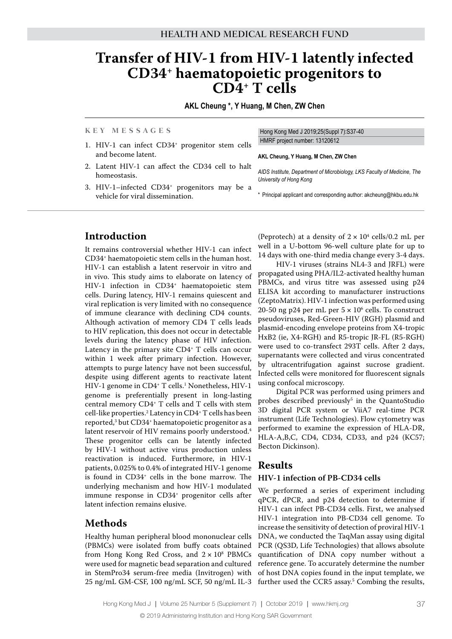# **Transfer of HIV-1 from HIV-1 latently infected CD34+ haematopoietic progenitors to CD4+ T cells**

**AKL Cheung \*, Y Huang, M Chen, ZW Chen**

#### **K e y M e s s a g e s**

Hong Kong Med J 2019;25(Suppl 7):S37-40 HMRF project number: 13120612

- 1. HIV-1 can infect CD34+ progenitor stem cells and become latent.
- 2. Latent HIV-1 can affect the CD34 cell to halt homeostasis.
- 3. HIV-1–infected CD34+ progenitors may be a vehicle for viral dissemination.

**AKL Cheung, Y Huang, M Chen, ZW Chen**

*AIDS Institute, Department of Microbiology, LKS Faculty of Medicine, The University of Hong Kong*

\* Principal applicant and corresponding author: akcheung@hkbu.edu.hk

## **Introduction**

It remains controversial whether HIV-1 can infect CD34+ haematopoietic stem cells in the human host. HIV-1 can establish a latent reservoir in vitro and in vivo. This study aims to elaborate on latency of HIV-1 infection in CD34<sup>+</sup> haematopoietic stem cells. During latency, HIV-1 remains quiescent and viral replication is very limited with no consequence of immune clearance with declining CD4 counts. Although activation of memory CD4 T cells leads to HIV replication, this does not occur in detectable levels during the latency phase of HIV infection. Latency in the primary site CD4<sup>+</sup> T cells can occur within 1 week after primary infection. However, attempts to purge latency have not been successful, despite using different agents to reactivate latent HIV-1 genome in CD4+ T cells.<sup>1</sup> Nonetheless, HIV-1 genome is preferentially present in long-lasting central memory CD4+ T cells and T cells with stem cell-like properties.2 Latency in CD4+ T cells has been reported,3 but CD34+ haematopoietic progenitor as a latent reservoir of HIV remains poorly understood.<sup>4</sup> These progenitor cells can be latently infected by HIV-1 without active virus production unless reactivation is induced. Furthermore, in HIV-1 patients, 0.025% to 0.4% of integrated HIV-1 genome is found in CD34+ cells in the bone marrow. The underlying mechanism and how HIV-1 modulated immune response in CD34+ progenitor cells after latent infection remains elusive.

## **Methods**

Healthy human peripheral blood mononuclear cells (PBMCs) were isolated from buffy coats obtained from Hong Kong Red Cross, and  $2 \times 10^8$  PBMCs were used for magnetic bead separation and cultured in StemPro34 serum-free media (Invitrogen) with 25 ng/mL GM-CSF, 100 ng/mL SCF, 50 ng/mL IL-3 (Peprotech) at a density of  $2 \times 10^4$  cells/0.2 mL per well in a U-bottom 96-well culture plate for up to 14 days with one-third media change every 3-4 days.

HIV-1 viruses (strains NL4-3 and JRFL) were propagated using PHA/IL2-activated healthy human PBMCs, and virus titre was assessed using p24 ELISA kit according to manufacturer instructions (ZeptoMatrix). HIV-1 infection was performed using 20-50 ng p24 per mL per  $5 \times 10^6$  cells. To construct pseudoviruses, Red-Green-HIV (RGH) plasmid and plasmid-encoding envelope proteins from X4-tropic HxB2 (ie, X4-RGH) and R5-tropic JR-FL (R5-RGH) were used to co-transfect 293T cells. After 2 days, supernatants were collected and virus concentrated by ultracentrifugation against sucrose gradient. Infected cells were monitored for fluorescent signals using confocal microscopy.

Digital PCR was performed using primers and probes described previously<sup>5</sup> in the QuantoStudio 3D digital PCR system or ViiA7 real-time PCR instrument (Life Technologies). Flow cytometry was performed to examine the expression of HLA-DR, HLA-A,B,C, CD4, CD34, CD33, and p24 (KC57; Becton Dickinson).

## **Results**

### **HIV-1 infection of PB-CD34 cells**

We performed a series of experiment including qPCR, dPCR, and p24 detection to determine if HIV-1 can infect PB-CD34 cells. First, we analysed HIV-1 integration into PB-CD34 cell genome. To increase the sensitivity of detection of proviral HIV-1 DNA, we conducted the TaqMan assay using digital PCR (QS3D, Life Technologies) that allows absolute quantification of DNA copy number without a reference gene. To accurately determine the number of host DNA copies found in the input template, we further used the CCR5 assay.<sup>5</sup> Combing the results,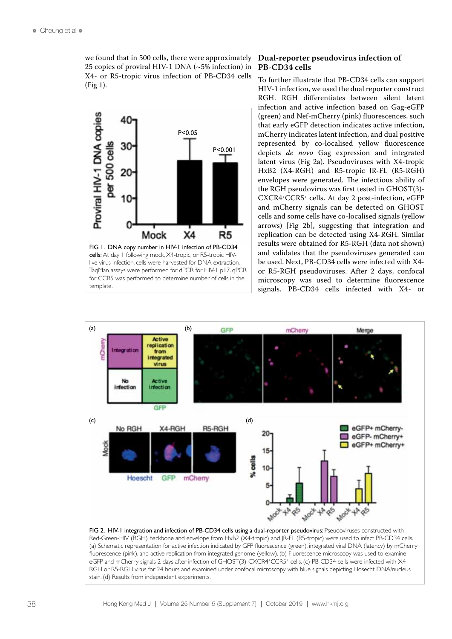we found that in 500 cells, there were approximately 25 copies of proviral HIV-1 DNA (~5% infection) in X4- or R5-tropic virus infection of PB-CD34 cells (Fig 1).



TaqMan assays were performed for dPCR for HIV-1 p17. qPCR for CCR5 was performed to determine number of cells in the template.

#### **Dual-reporter pseudovirus infection of PB-CD34 cells**

To further illustrate that PB-CD34 cells can support HIV-1 infection, we used the dual reporter construct RGH. RGH differentiates between silent latent infection and active infection based on Gag-eGFP (green) and Nef-mCherry (pink) fluorescences, such that early eGFP detection indicates active infection, mCherry indicates latent infection, and dual positive represented by co-localised yellow fluorescence depicts *de novo* Gag expression and integrated latent virus (Fig 2a). Pseudoviruses with X4-tropic HxB2 (X4-RGH) and R5-tropic JR-FL (R5-RGH) envelopes were generated. The infectious ability of the RGH pseudovirus was first tested in GHOST(3)- CXCR4+CCR5+ cells. At day 2 post-infection, eGFP and mCherry signals can be detected on GHOST cells and some cells have co-localised signals (yellow arrows) [Fig 2b], suggesting that integration and replication can be detected using X4-RGH. Similar results were obtained for R5-RGH (data not shown) and validates that the pseudoviruses generated can be used. Next, PB-CD34 cells were infected with X4 or R5-RGH pseudoviruses. After 2 days, confocal microscopy was used to determine fluorescence signals. PB-CD34 cells infected with X4- or



FIG 2. HIV-1 integration and infection of PB-CD34 cells using a dual-reporter pseudovirus: Pseudoviruses constructed with Red-Green-HIV (RGH) backbone and envelope from HxB2 (X4-tropic) and JR-FL (R5-tropic) were used to infect PB-CD34 cells. (a) Schematic representation for active infection indicated by GFP fluorescence (green), integrated viral DNA (latency) by mCherry fluorescence (pink), and active replication from integrated genome (yellow). (b) Fluorescence microscopy was used to examine eGFP and mCherry signals 2 days after infection of GHOST(3)-CXCR4+CCR5+ cells. (c) PB-CD34 cells were infected with X4-RGH or R5-RGH virus for 24 hours and examined under confocal microscopy with blue signals depicting Hosecht DNA/nucleus stain. (d) Results from independent experiments.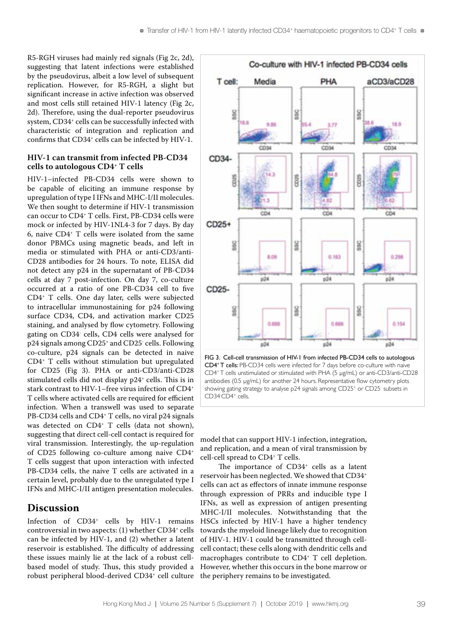R5-RGH viruses had mainly red signals (Fig 2c, 2d), suggesting that latent infections were established by the pseudovirus, albeit a low level of subsequent replication. However, for R5-RGH, a slight but significant increase in active infection was observed and most cells still retained HIV-1 latency (Fig 2c, 2d). Therefore, using the dual-reporter pseudovirus system, CD34<sup>+</sup> cells can be successfully infected with characteristic of integration and replication and confirms that CD34<sup>+</sup> cells can be infected by HIV-1.

#### **HIV-1 can transmit from infected PB-CD34 cells to autologous CD4+ T cells**

HIV-1–infected PB-CD34 cells were shown to be capable of eliciting an immune response by upregulation of type I IFNs and MHC-I/II molecules. We then sought to determine if HIV-1 transmission can occur to CD4+ T cells. First, PB-CD34 cells were mock or infected by HIV-1NL4-3 for 7 days. By day 6, naive CD4+ T cells were isolated from the same donor PBMCs using magnetic beads, and left in media or stimulated with PHA or anti-CD3/anti-CD28 antibodies for 24 hours. To note, ELISA did not detect any p24 in the supernatant of PB-CD34 cells at day 7 post-infection. On day 7, co-culture occurred at a ratio of one PB-CD34 cell to five CD4+ T cells. One day later, cells were subjected to intracellular immunostaining for p24 following surface CD34, CD4, and activation marker CD25 staining, and analysed by flow cytometry. Following gating on CD34- cells, CD4 cells were analysed for p24 signals among CD25+ and CD25- cells. Following co-culture, p24 signals can be detected in naive CD4+ T cells without stimulation but upregulated for CD25 (Fig 3). PHA or anti-CD3/anti-CD28 stimulated cells did not display p24<sup>+</sup> cells. This is in stark contrast to HIV-1–free virus infection of CD4+ T cells where activated cells are required for efficient infection. When a transwell was used to separate PB-CD34 cells and CD4<sup>+</sup> T cells, no viral p24 signals was detected on CD4<sup>+</sup> T cells (data not shown), suggesting that direct cell-cell contact is required for viral transmission. Interestingly, the up-regulation of CD25 following co-culture among naive CD4+ T cells suggest that upon interaction with infected PB-CD34 cells, the naive T cells are activated in a certain level, probably due to the unregulated type I IFNs and MHC-I/II antigen presentation molecules.

## **Discussion**

Infection of CD34+ cells by HIV-1 remains controversial in two aspects: (1) whether CD34+ cells can be infected by HIV-1, and (2) whether a latent reservoir is established. The difficulty of addressing these issues mainly lie at the lack of a robust cellbased model of study. Thus, this study provided a robust peripheral blood-derived CD34+ cell culture



FIG 3. Cell-cell transmission of HIV-1 from infected PB-CD34 cells to autologous CD4+ T cells: PB-CD34 cells were infected for 7 days before co-culture with naive CD4+ T cells unstimulated or stimulated with PHA (5 µg/mL) or anti-CD3/anti-CD28 antibodies (0.5 µg/mL) for another 24 hours. Representative flow cytometry plots showing gating strategy to analyse p24 signals among CD25<sup>+</sup> or CD25<sup>-</sup> subsets in CD34<sup>-</sup> cells.

model that can support HIV-1 infection, integration, and replication, and a mean of viral transmission by cell-cell spread to CD4+ T cells.

The importance of CD34<sup>+</sup> cells as a latent reservoir has been neglected. We showed that CD34+ cells can act as effectors of innate immune response through expression of PRRs and inducible type I IFNs, as well as expression of antigen presenting MHC-I/II molecules. Notwithstanding that the HSCs infected by HIV-1 have a higher tendency towards the myeloid lineage likely due to recognition of HIV-1. HIV-1 could be transmitted through cellcell contact; these cells along with dendritic cells and macrophages contribute to CD4+ T cell depletion. However, whether this occurs in the bone marrow or the periphery remains to be investigated.